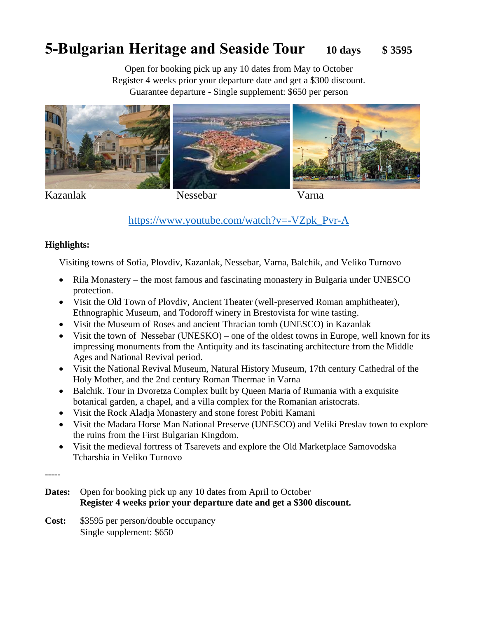# **5-Bulgarian Heritage and Seaside Tour 10 days \$ 3595**

Open for booking pick up any 10 dates from May to October Register 4 weeks prior your departure date and get a \$300 discount. Guarantee departure - Single supplement: \$650 per person



# [https://www.youtube.com/watch?v=-VZpk\\_Pvr-A](https://www.youtube.com/watch?v=-VZpk_Pvr-A)

#### **Highlights:**

Visiting towns of Sofia, Plovdiv, Kazanlak, Nessebar, Varna, Balchik, and Veliko Turnovo

- Rila Monastery the most famous and fascinating monastery in Bulgaria under UNESCO protection.
- Visit the Old Town of Plovdiv, Ancient Theater (well-preserved Roman amphitheater), Ethnographic Museum, and Todoroff winery in Brestovista for wine tasting.
- Visit the Museum of Roses and ancient Thracian tomb (UNESCO) in Kazanlak
- Visit the town of Nessebar (UNESKO) one of the oldest towns in Europe, well known for its impressing monuments from the Antiquity and its fascinating architecture from the Middle Ages and National Revival period.
- Visit the National Revival Museum, Natural History Museum, 17th century Cathedral of the Holy Mother, and the 2nd century Roman Thermae in Varna
- Balchik. Tour in Dvoretza Complex built by Queen Maria of Rumania with a exquisite botanical garden, a chapel, and a villa complex for the Romanian aristocrats.
- Visit the Rock Aladja Monastery and stone forest Pobiti Kamani
- Visit the Madara Horse Man National Preserve (UNESCO) and Veliki Preslav town to explore the ruins from the First Bulgarian Kingdom.
- Visit the medieval fortress of Tsarevets and explore the Old Marketplace Samovodska Tcharshia in Veliko Turnovo

-----

- **Dates:** Open for booking pick up any 10 dates from April to October  **Register 4 weeks prior your departure date and get a \$300 discount.**
- **Cost:** \$3595 per person/double occupancy Single supplement: \$650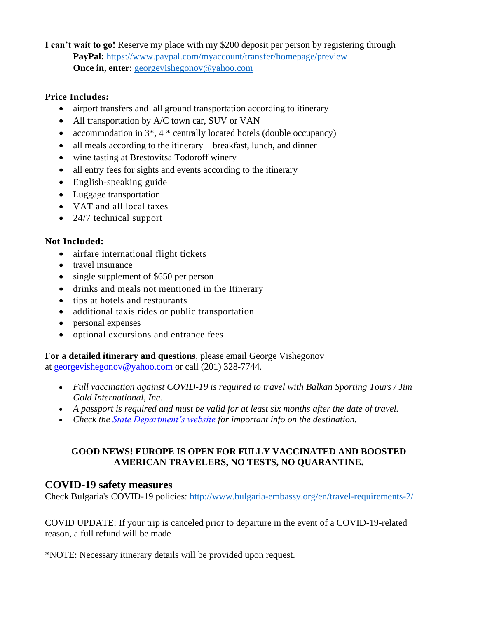**I can't wait to go!** Reserve my place with my \$200 deposit per person by registering through **PayPal:** <https://www.paypal.com/myaccount/transfer/homepage/preview> **Once in, enter:** [georgevishegonov@yahoo.com](mailto:georgevishegonov@yahoo.com)

### **Price Includes:**

- airport transfers and all ground transportation according to itinerary
- All transportation by A/C town car, SUV or VAN
- accommodation in  $3^*$ ,  $4^*$  centrally located hotels (double occupancy)
- all meals according to the itinerary breakfast, lunch, and dinner
- wine tasting at Brestovitsa Todoroff winery
- all entry fees for sights and events according to the itinerary
- English-speaking guide
- Luggage transportation
- VAT and all local taxes
- 24/7 technical support

## **Not Included:**

- airfare international flight tickets
- travel insurance
- single supplement of \$650 per person
- drinks and meals not mentioned in the Itinerary
- tips at hotels and restaurants
- additional taxis rides or public transportation
- personal expenses
- optional excursions and entrance fees

# **For a detailed itinerary and questions**, please email George Vishegonov

at [georgevishegonov@yahoo.com](http://mailto:georgevishegonov@yahoo.com/) or call (201) 328-7744.

- *Full vaccination against COVID-19 is required to travel with Balkan Sporting Tours / Jim Gold International, Inc.*
- *A passport is required and must be valid for at least six months after the date of travel.*
- *Check the [State Department's website](http://travel.state.gov/) for important info on the destination.*

#### **GOOD NEWS! EUROPE IS OPEN FOR FULLY VACCINATED AND BOOSTED AMERICAN TRAVELERS, NO TESTS, NO QUARANTINE.**

## **COVID-19 safety measures**

Check Bulgaria's COVID-19 policies:<http://www.bulgaria-embassy.org/en/travel-requirements-2/>

COVID UPDATE: If your trip is canceled prior to departure in the event of a COVID-19-related reason, a full refund will be made

\*NOTE: Necessary itinerary details will be provided upon request.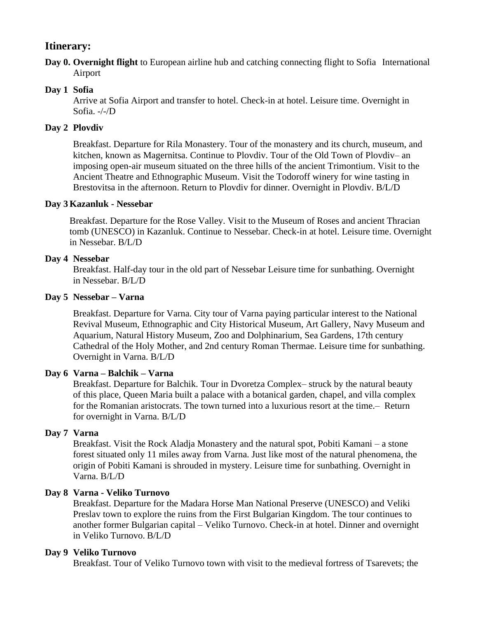## **Itinerary:**

**Day 0. Overnight flight** to European airline hub and catching connecting flight to Sofia International Airport

## **Day 1 Sofia**

Arrive at Sofia Airport and transfer to hotel. Check-in at hotel. Leisure time. Overnight in Sofia. -/-/D

### **Day 2 Plovdiv**

Breakfast. Departure for Rila Monastery. Tour of the monastery and its church, museum, and kitchen, known as Magernitsa. Continue to Plovdiv. Tour of the Old Town of Plovdiv– an imposing open-air museum situated on the three hills of the ancient Trimontium. Visit to the Ancient Theatre and Ethnographic Museum. Visit the Todoroff winery for wine tasting in Brestovitsa in the afternoon. Return to Plovdiv for dinner. Overnight in Plovdiv. B/L/D

#### **Day 3 Kazanluk - Nessebar**

Breakfast. Departure for the Rose Valley. Visit to the Museum of Roses and ancient Thracian tomb (UNESCO) in Kazanluk. Continue to Nessebar. Check-in at hotel. Leisure time. Overnight in Nessebar. B/L/D

#### **Day 4 Nessebar**

Breakfast. Half-day tour in the old part of Nessebar Leisure time for sunbathing. Overnight in Nessebar. B/L/D

#### **Day 5 Nessebar – Varna**

Breakfast. Departure for Varna. City tour of Varna paying particular interest to the National Revival Museum, Ethnographic and City Historical Museum, Art Gallery, Navy Museum and Aquarium, Natural History Museum, Zoo and Dolphinarium, Sea Gardens, 17th century Cathedral of the Holy Mother, and 2nd century Roman Thermae. Leisure time for sunbathing. Overnight in Varna. B/L/D

#### **Day 6 Varna – Balchik – Varna**

Breakfast. Departure for Balchik. Tour in Dvoretza Complex– struck by the natural beauty of this place, Queen Maria built a palace with a botanical garden, chapel, and villa complex for the Romanian aristocrats. The town turned into a luxurious resort at the time.– Return for overnight in Varna. B/L/D

#### **Day 7 Varna**

Breakfast. Visit the Rock Aladja Monastery and the natural spot, Pobiti Kamani – a stone forest situated only 11 miles away from Varna. Just like most of the natural phenomena, the origin of Pobiti Kamani is shrouded in mystery. Leisure time for sunbathing. Overnight in Varna. B/L/D

#### **Day 8 Varna - Veliko Turnovo**

Breakfast. Departure for the Madara Horse Man National Preserve (UNESCO) and Veliki Preslav town to explore the ruins from the First Bulgarian Kingdom. The tour continues to another former Bulgarian capital – Veliko Turnovo. Check-in at hotel. Dinner and overnight in Veliko Turnovo. B/L/D

#### **Day 9 Veliko Turnovo**

Breakfast. Tour of Veliko Turnovo town with visit to the medieval fortress of Tsarevets; the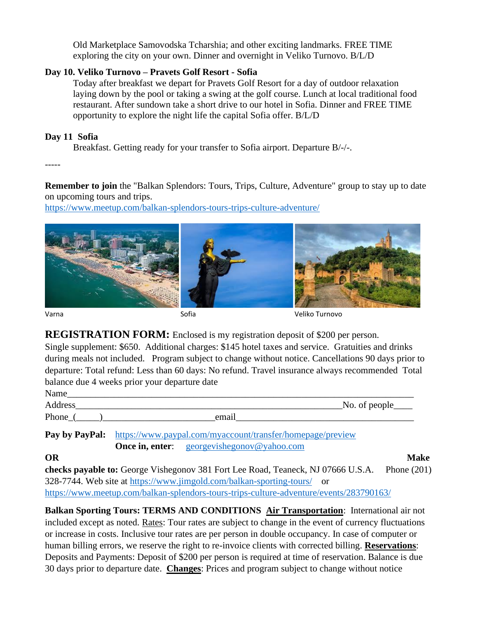Old Marketplace Samovodska Tcharshia; and other exciting landmarks. FREE TIME exploring the city on your own. Dinner and overnight in Veliko Turnovo. B/L/D

#### **Day 10. Veliko Turnovo – Pravets Golf Resort - Sofia**

Today after breakfast we depart for Pravets Golf Resort for a day of outdoor relaxation laying down by the pool or taking a swing at the golf course. Lunch at local traditional food restaurant. After sundown take a short drive to our hotel in Sofia. Dinner and FREE TIME opportunity to explore the night life the capital Sofia offer. B/L/D

#### **Day 11 Sofia**

Breakfast. Getting ready for your transfer to Sofia airport. Departure B/-/-.

-----

**Remember to join** the "Balkan Splendors: Tours, Trips, Culture, Adventure" group to stay up to date on upcoming tours and trips.

<https://www.meetup.com/balkan-splendors-tours-trips-culture-adventure/>



**REGISTRATION FORM:** Enclosed is my registration deposit of \$200 per person. Single supplement: \$650. Additional charges: \$145 hotel taxes and service. Gratuities and drinks

during meals not included. Program subject to change without notice. Cancellations 90 days prior to departure: Total refund: Less than 60 days: No refund. Travel insurance always recommended Total balance due 4 weeks prior your departure date

| Name    |       |                                       |
|---------|-------|---------------------------------------|
| Address |       | $\mathbb{N}$ o. of people $\_\_\_\_\$ |
| Phone   | email |                                       |

**Pay by PayPal:** <https://www.paypal.com/myaccount/transfer/homepage/preview> **Once in, enter:** georgevishegonov@yahoo.com

#### **OR Make**

**checks payable to:** George Vishegonov 381 Fort Lee Road, Teaneck, NJ 07666 U.S.A. Phone (201) 328-7744. Web site at<https://www.jimgold.com/balkan-sporting-tours/>or <https://www.meetup.com/balkan-splendors-tours-trips-culture-adventure/events/283790163/>

**Balkan Sporting Tours: TERMS AND CONDITIONS Air Transportation**: International air not included except as noted. Rates: Tour rates are subject to change in the event of currency fluctuations or increase in costs. Inclusive tour rates are per person in double occupancy. In case of computer or human billing errors, we reserve the right to re-invoice clients with corrected billing. **Reservations**: Deposits and Payments: Deposit of \$200 per person is required at time of reservation. Balance is due 30 days prior to departure date. **Changes**: Prices and program subject to change without notice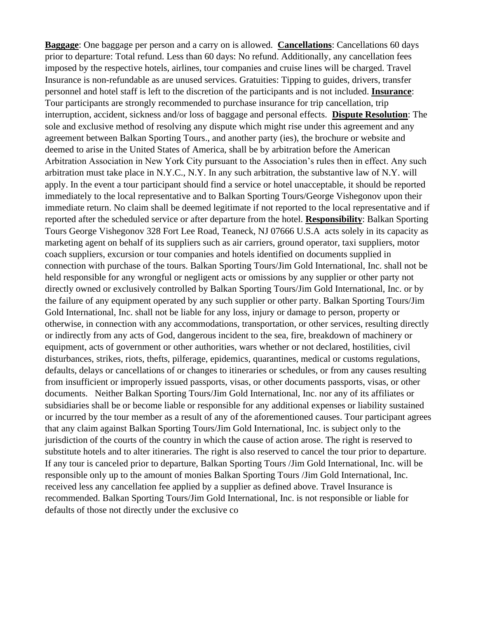**Baggage**: One baggage per person and a carry on is allowed. **Cancellations**: Cancellations 60 days prior to departure: Total refund. Less than 60 days: No refund. Additionally, any cancellation fees imposed by the respective hotels, airlines, tour companies and cruise lines will be charged. Travel Insurance is non-refundable as are unused services. Gratuities: Tipping to guides, drivers, transfer personnel and hotel staff is left to the discretion of the participants and is not included. **Insurance**: Tour participants are strongly recommended to purchase insurance for trip cancellation, trip interruption, accident, sickness and/or loss of baggage and personal effects. **Dispute Resolution**: The sole and exclusive method of resolving any dispute which might rise under this agreement and any agreement between Balkan Sporting Tours., and another party (ies), the brochure or website and deemed to arise in the United States of America, shall be by arbitration before the American Arbitration Association in New York City pursuant to the Association's rules then in effect. Any such arbitration must take place in N.Y.C., N.Y. In any such arbitration, the substantive law of N.Y. will apply. In the event a tour participant should find a service or hotel unacceptable, it should be reported immediately to the local representative and to Balkan Sporting Tours/George Vishegonov upon their immediate return. No claim shall be deemed legitimate if not reported to the local representative and if reported after the scheduled service or after departure from the hotel. **Responsibility**: Balkan Sporting Tours George Vishegonov 328 Fort Lee Road, Teaneck, NJ 07666 U.S.A acts solely in its capacity as marketing agent on behalf of its suppliers such as air carriers, ground operator, taxi suppliers, motor coach suppliers, excursion or tour companies and hotels identified on documents supplied in connection with purchase of the tours. Balkan Sporting Tours/Jim Gold International, Inc. shall not be held responsible for any wrongful or negligent acts or omissions by any supplier or other party not directly owned or exclusively controlled by Balkan Sporting Tours/Jim Gold International, Inc. or by the failure of any equipment operated by any such supplier or other party. Balkan Sporting Tours/Jim Gold International, Inc. shall not be liable for any loss, injury or damage to person, property or otherwise, in connection with any accommodations, transportation, or other services, resulting directly or indirectly from any acts of God, dangerous incident to the sea, fire, breakdown of machinery or equipment, acts of government or other authorities, wars whether or not declared, hostilities, civil disturbances, strikes, riots, thefts, pilferage, epidemics, quarantines, medical or customs regulations, defaults, delays or cancellations of or changes to itineraries or schedules, or from any causes resulting from insufficient or improperly issued passports, visas, or other documents passports, visas, or other documents. Neither Balkan Sporting Tours/Jim Gold International, Inc. nor any of its affiliates or subsidiaries shall be or become liable or responsible for any additional expenses or liability sustained or incurred by the tour member as a result of any of the aforementioned causes. Tour participant agrees that any claim against Balkan Sporting Tours/Jim Gold International, Inc. is subject only to the jurisdiction of the courts of the country in which the cause of action arose. The right is reserved to substitute hotels and to alter itineraries. The right is also reserved to cancel the tour prior to departure. If any tour is canceled prior to departure, Balkan Sporting Tours /Jim Gold International, Inc. will be responsible only up to the amount of monies Balkan Sporting Tours /Jim Gold International, Inc. received less any cancellation fee applied by a supplier as defined above. Travel Insurance is recommended. Balkan Sporting Tours/Jim Gold International, Inc. is not responsible or liable for defaults of those not directly under the exclusive co